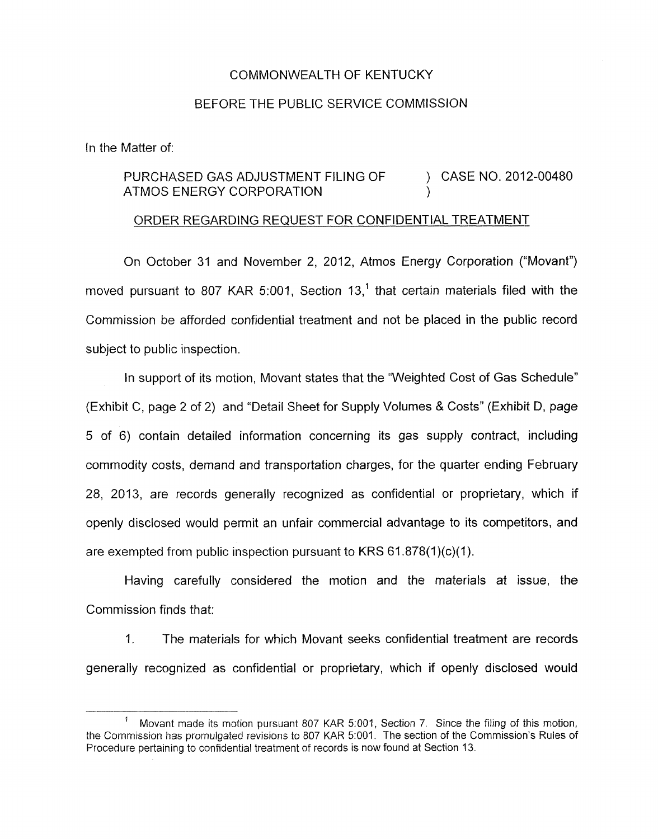## COMMONWEALTH OF KENTUCKY

## BEFORE THE PUBLIC SERVICE COMMISSION

In the Matter of:

## PURCHASED GAS ADJUSTMENT FILING OF ) CASE NO. 2012-00480 ATMOS ENERGY CORPORATION )

## ORDER REGARDING REQUEST FOR CONFIDENTIAL TREATMENT

On October 31 and November 2, 2012, Atmos Energy Corporation ("Movant") moved pursuant to 807 KAR 5:001, Section 13.<sup>1</sup> that certain materials filed with the Commission be afforded confidential treatment and not be placed in the public record subject to public inspection.

In support of its motion, Movant states that the "Weighted Cost of Gas Schedule" (Exhibit C, page 2 of 2) and "Detail Sheet for Supply Volumes & Costs" (Exhibit D, page 5 of 6) contain detailed information concerning its gas supply contract, including commodity costs, demand and transportation charges, for the quarter ending February 28, 2013, are records generally recognized as confidential or proprietary, which if openly disclosed would permit an unfair commercial advantage to its competitors, and are exempted from public inspection pursuant to KRS 61.878(1)(c)(1).

Having carefully considered the motion and the materials at issue, the Commission finds that:

1. The materials for which Movant seeks confidential treatment are records generally recognized as confidential or proprietary, which if openly disclosed would

Movant made its motion pursuant 807 KAR 5:001, Section 7. Since the filing of this motion, the Commission has promulgated revisions to 807 KAR 5:001. The section of the Commission's Rules of Procedure pertaining to confidential treatment of records is now found at Section 13. **1**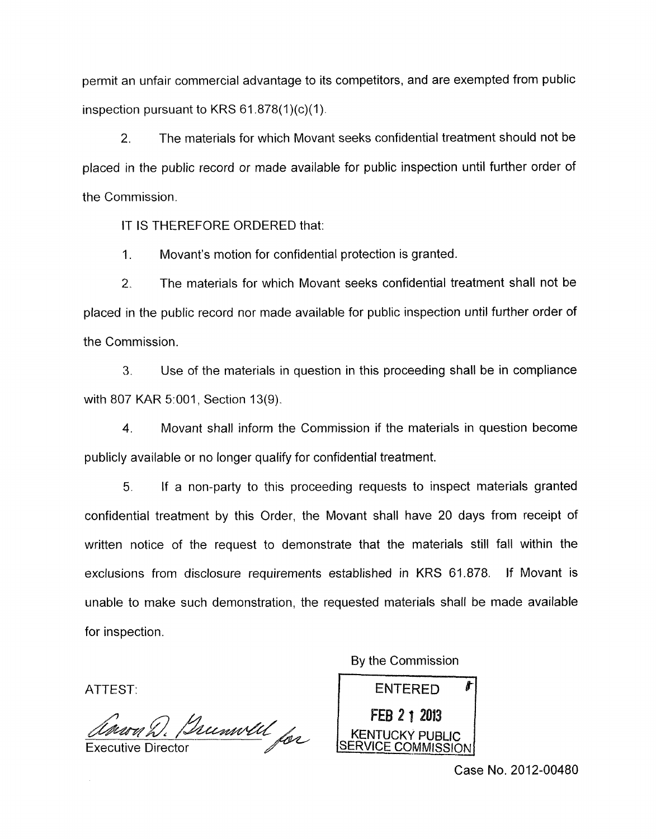permit an unfair commercial advantage to its competitors, and are exempted from public inspection pursuant to KRS  $61.878(1)(c)(1)$ .

2. The materials for which Movant seeks confidential treatment should not be placed in the public record or made available for public inspection until further order of the Commission.

IT IS THEREFORE ORDERED that:

1. Movant's motion for confidential protection is granted.

2. The materials for which Movant seeks confidential treatment shall not be placed in the public record nor made available for public inspection until further order of the Commission.

**3.** Use of the materials in question in this proceeding shall be in compliance with 807 KAR 5:001, Section 13(9).

**4.** Movant shall inform the Commission if the materials in question become publicly available or no longer qualify for confidential treatment.

5. If a non-party to this proceeding requests to inspect materials granted confidential treatment by this Order, the Movant shall have 20 days from receipt of written notice of the request to demonstrate that the materials still fall within the exclusions from disclosure requirements established in KRS 61.878. If Movant is unable to make such demonstration, the requested materials shall be made available for inspection.

ATTEST:

nery D. Bumvell for **Executive Director** 

By the Commission

**ENTERED** FEB 2 1 2013 KENTUCKY PUBLIC<br>SERVICE COMMISSION

Case No. 2012-00480